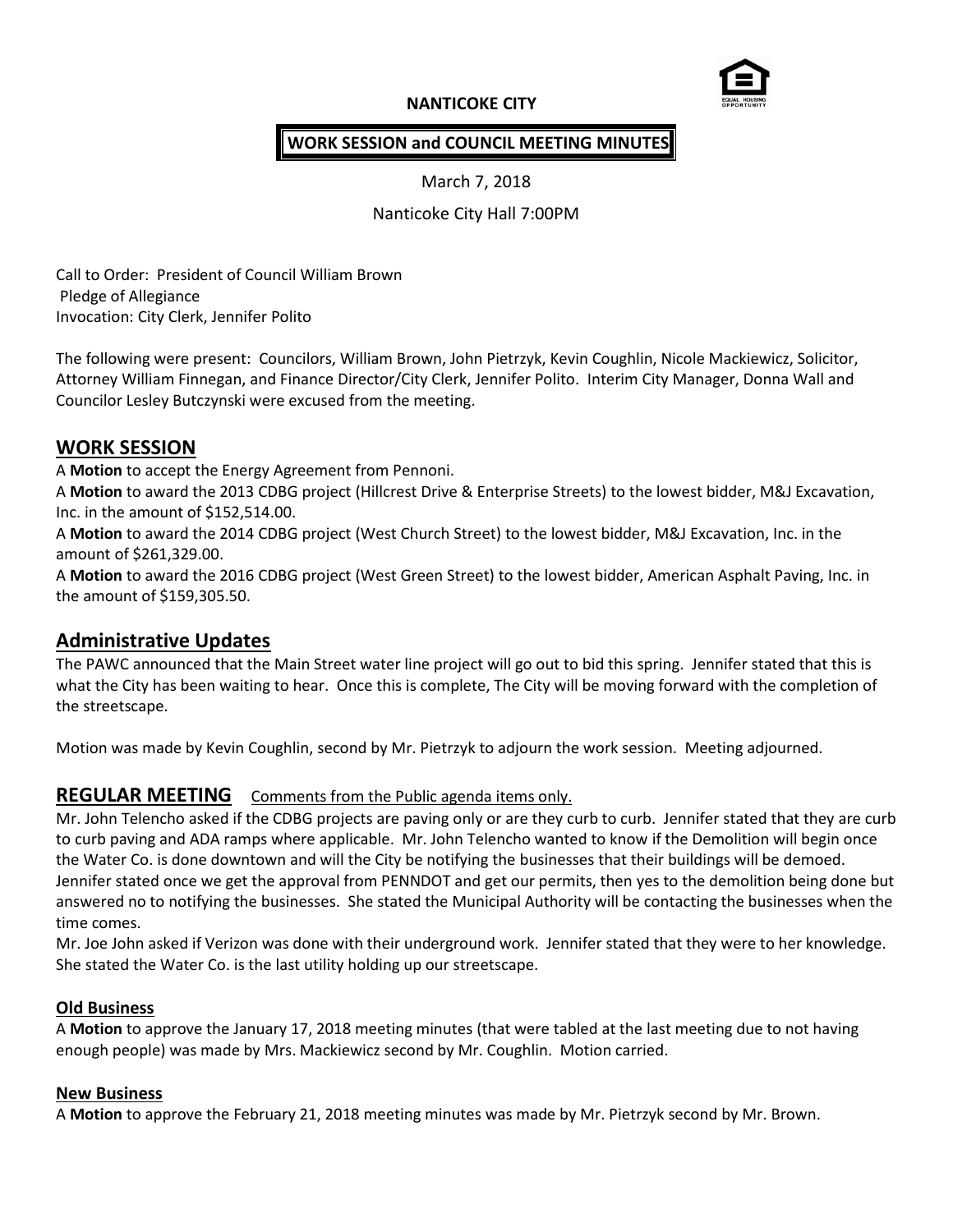# **NANTICOKE CITY**



## **WORK SESSION and COUNCIL MEETING MINUTES**

March 7, 2018

Nanticoke City Hall 7:00PM

Call to Order: President of Council William Brown Pledge of Allegiance Invocation: City Clerk, Jennifer Polito

The following were present: Councilors, William Brown, John Pietrzyk, Kevin Coughlin, Nicole Mackiewicz, Solicitor, Attorney William Finnegan, and Finance Director/City Clerk, Jennifer Polito. Interim City Manager, Donna Wall and Councilor Lesley Butczynski were excused from the meeting.

### **WORK SESSION**

A **Motion** to accept the Energy Agreement from Pennoni.

A **Motion** to award the 2013 CDBG project (Hillcrest Drive & Enterprise Streets) to the lowest bidder, M&J Excavation, Inc. in the amount of \$152,514.00.

A **Motion** to award the 2014 CDBG project (West Church Street) to the lowest bidder, M&J Excavation, Inc. in the amount of \$261,329.00.

A **Motion** to award the 2016 CDBG project (West Green Street) to the lowest bidder, American Asphalt Paving, Inc. in the amount of \$159,305.50.

# **Administrative Updates**

The PAWC announced that the Main Street water line project will go out to bid this spring. Jennifer stated that this is what the City has been waiting to hear. Once this is complete, The City will be moving forward with the completion of the streetscape.

Motion was made by Kevin Coughlin, second by Mr. Pietrzyk to adjourn the work session. Meeting adjourned.

# **REGULAR MEETING** Comments from the Public agenda items only.

Mr. John Telencho asked if the CDBG projects are paving only or are they curb to curb. Jennifer stated that they are curb to curb paving and ADA ramps where applicable. Mr. John Telencho wanted to know if the Demolition will begin once the Water Co. is done downtown and will the City be notifying the businesses that their buildings will be demoed. Jennifer stated once we get the approval from PENNDOT and get our permits, then yes to the demolition being done but answered no to notifying the businesses. She stated the Municipal Authority will be contacting the businesses when the time comes.

Mr. Joe John asked if Verizon was done with their underground work. Jennifer stated that they were to her knowledge. She stated the Water Co. is the last utility holding up our streetscape.

### **Old Business**

A **Motion** to approve the January 17, 2018 meeting minutes (that were tabled at the last meeting due to not having enough people) was made by Mrs. Mackiewicz second by Mr. Coughlin. Motion carried.

#### **New Business**

A **Motion** to approve the February 21, 2018 meeting minutes was made by Mr. Pietrzyk second by Mr. Brown.